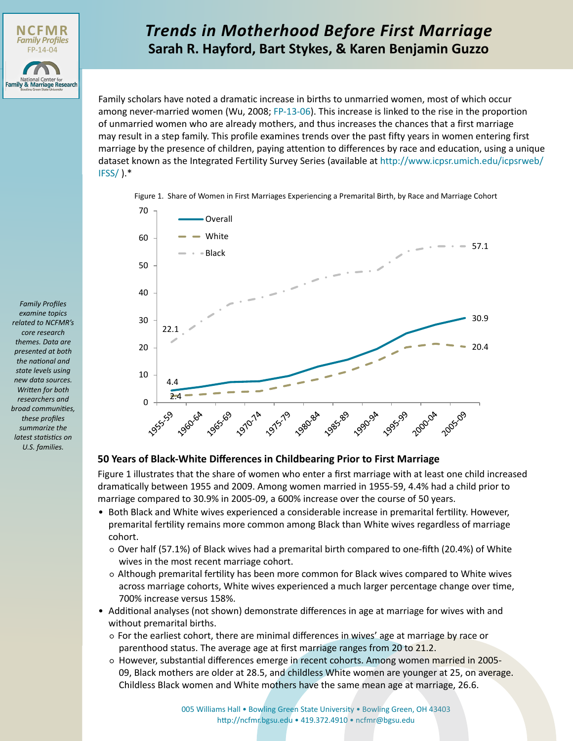

## **Sarah R. Hayford, Bart Stykes, & Karen Benjamin Guzzo** *Trends in Motherhood Before First Marriage*

Family scholars have noted a dramatic increase in births to unmarried women, most of which occur among never-married women (Wu, 2008; [FP-13-06\)](http://www.bgsu.edu/content/dam/BGSU/college-of-arts-and-sciences/NCFMR/documents/FP/FP-13-06.pdf). This increase is linked to the rise in the proportion of unmarried women who are already mothers, and thus increases the chances that a first marriage may result in a step family. This profile examines trends over the past fifty years in women entering first marriage by the presence of children, paying attention to differences by race and education, using a unique dataset known as the Integrated Fertility Survey Series (available at [http://www.icpsr.umich.edu/icpsrweb/](http://www.icpsr.umich.edu/icpsrweb/IFSS/)  $IFSS/$ ). $*$ 

Figure 1. Share of Women in First Marriages Experiencing a Premarital Birth, by Race and Marriage Cohort



## **50 Years of Black-White Differences in Childbearing Prior to First Marriage**

Figure 1 illustrates that the share of women who enter a first marriage with at least one child increased dramatically between 1955 and 2009. Among women married in 1955-59, 4.4% had a child prior to marriage compared to 30.9% in 2005-09, a 600% increase over the course of 50 years.

- Both Black and White wives experienced a considerable increase in premarital fertility. However, premarital fertility remains more common among Black than White wives regardless of marriage cohort.
	- Over half (57.1%) of Black wives had a premarital birth compared to one-fifth (20.4%) of White wives in the most recent marriage cohort.
	- Although premarital fertility has been more common for Black wives compared to White wives across marriage cohorts, White wives experienced a much larger percentage change over time, 700% increase versus 158%.
- Additional analyses (not shown) demonstrate differences in age at marriage for wives with and without premarital births.
	- For the earliest cohort, there are minimal differences in wives' age at marriage by race or parenthood status. The average age at first marriage ranges from 20 to 21.2.
	- o However, substantial differences emerge in recent cohorts. Among women married in 2005-09, Black mothers are older at 28.5, and childless White women are younger at 25, on average. Childless Black women and White mothers have the same mean age at marriage, 26.6.

*Family Profiles examine topics related to NCFMR's core research themes. Data are presented at both the national and state levels using new data sources. Written for both researchers and broad communities, these profiles summarize the latest statistics on U.S. families.*